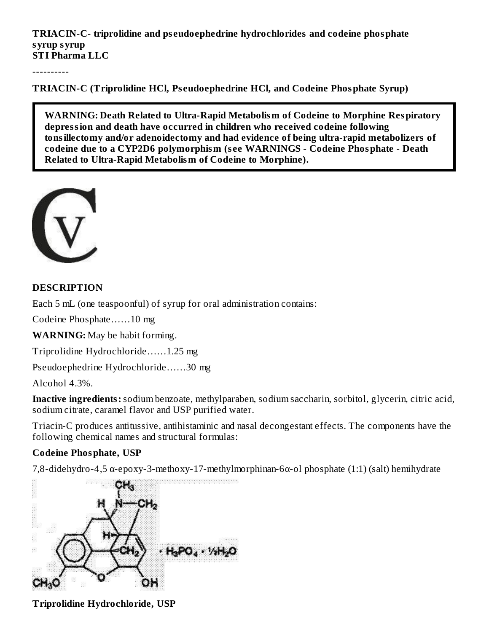**TRIACIN-C- triprolidine and ps eudoephedrine hydrochlorides and codeine phosphate syrup syrup STI Pharma LLC**

----------

**TRIACIN-C (Triprolidine HCl, Ps eudoephedrine HCl, and Codeine Phosphate Syrup)**

**WARNING: Death Related to Ultra-Rapid Metabolism of Codeine to Morphine Respiratory depression and death have occurred in children who received codeine following tonsillectomy and/or adenoidectomy and had evidence of being ultra-rapid metabolizers of codeine due to a CYP2D6 polymorphism (s ee WARNINGS - Codeine Phosphate - Death Related to Ultra-Rapid Metabolism of Codeine to Morphine).**



#### **DESCRIPTION**

Each 5 mL (one teaspoonful) of syrup for oral administration contains:

Codeine Phosphate……10 mg

**WARNING:** May be habit forming.

Triprolidine Hydrochloride……1.25 mg

Pseudoephedrine Hydrochloride……30 mg

Alcohol 4.3%.

**Inactive ingredients:**sodium benzoate, methylparaben, sodium saccharin, sorbitol, glycerin, citric acid, sodium citrate, caramel flavor and USP purified water.

Triacin-C produces antitussive, antihistaminic and nasal decongestant effects. The components have the following chemical names and structural formulas:

#### **Codeine Phosphate, USP**

7,8-didehydro-4,5 α-epoxy-3-methoxy-17-methylmorphinan-6α-ol phosphate (1:1) (salt) hemihydrate



**Triprolidine Hydrochloride, USP**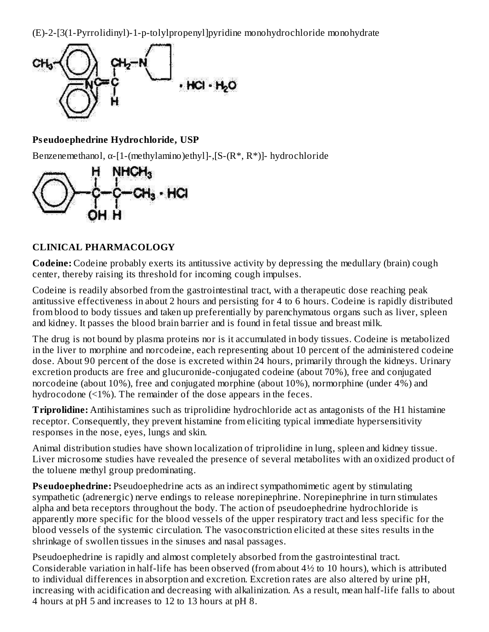(E)-2-[3(1-Pyrrolidinyl)-1-p-tolylpropenyl]pyridine monohydrochloride monohydrate



**Ps eudoephedrine Hydrochloride, USP**

Benzenemethanol, α-[1-(methylamino)ethyl]-,[S-(R\*, R\*)]- hydrochloride



#### **CLINICAL PHARMACOLOGY**

**Codeine:** Codeine probably exerts its antitussive activity by depressing the medullary (brain) cough center, thereby raising its threshold for incoming cough impulses.

Codeine is readily absorbed from the gastrointestinal tract, with a therapeutic dose reaching peak antitussive effectiveness in about 2 hours and persisting for 4 to 6 hours. Codeine is rapidly distributed from blood to body tissues and taken up preferentially by parenchymatous organs such as liver, spleen and kidney. It passes the blood brain barrier and is found in fetal tissue and breast milk.

The drug is not bound by plasma proteins nor is it accumulated in body tissues. Codeine is metabolized in the liver to morphine and norcodeine, each representing about 10 percent of the administered codeine dose. About 90 percent of the dose is excreted within 24 hours, primarily through the kidneys. Urinary excretion products are free and glucuronide-conjugated codeine (about 70%), free and conjugated norcodeine (about 10%), free and conjugated morphine (about 10%), normorphine (under 4%) and hydrocodone (<1%). The remainder of the dose appears in the feces.

**Triprolidine:** Antihistamines such as triprolidine hydrochloride act as antagonists of the H1 histamine receptor. Consequently, they prevent histamine from eliciting typical immediate hypersensitivity responses in the nose, eyes, lungs and skin.

Animal distribution studies have shown localization of triprolidine in lung, spleen and kidney tissue. Liver microsome studies have revealed the presence of several metabolites with an oxidized product of the toluene methyl group predominating.

**Ps eudoephedrine:** Pseudoephedrine acts as an indirect sympathomimetic agent by stimulating sympathetic (adrenergic) nerve endings to release norepinephrine. Norepinephrine in turn stimulates alpha and beta receptors throughout the body. The action of pseudoephedrine hydrochloride is apparently more specific for the blood vessels of the upper respiratory tract and less specific for the blood vessels of the systemic circulation. The vasoconstriction elicited at these sites results in the shrinkage of swollen tissues in the sinuses and nasal passages.

Pseudoephedrine is rapidly and almost completely absorbed from the gastrointestinal tract. Considerable variation in half-life has been observed (from about 4½ to 10 hours), which is attributed to individual differences in absorption and excretion. Excretion rates are also altered by urine pH, increasing with acidification and decreasing with alkalinization. As a result, mean half-life falls to about 4 hours at pH 5 and increases to 12 to 13 hours at pH 8.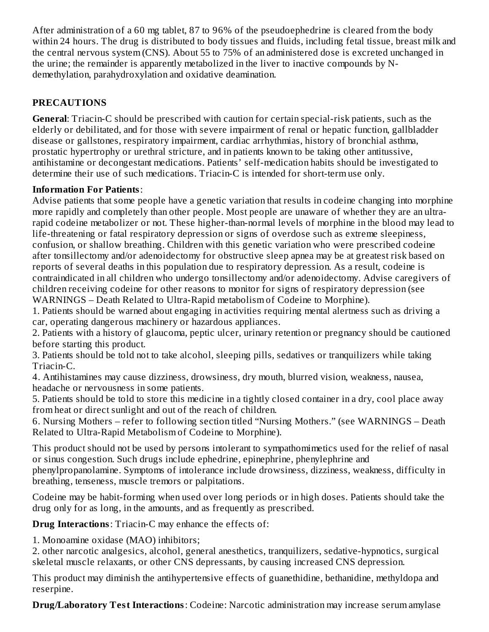After administration of a 60 mg tablet, 87 to 96% of the pseudoephedrine is cleared from the body within 24 hours. The drug is distributed to body tissues and fluids, including fetal tissue, breast milk and the central nervous system (CNS). About 55 to 75% of an administered dose is excreted unchanged in the urine; the remainder is apparently metabolized in the liver to inactive compounds by Ndemethylation, parahydroxylation and oxidative deamination.

## **PRECAUTIONS**

**General**: Triacin-C should be prescribed with caution for certain special-risk patients, such as the elderly or debilitated, and for those with severe impairment of renal or hepatic function, gallbladder disease or gallstones, respiratory impairment, cardiac arrhythmias, history of bronchial asthma, prostatic hypertrophy or urethral stricture, and in patients known to be taking other antitussive, antihistamine or decongestant medications. Patients' self-medication habits should be investigated to determine their use of such medications. Triacin-C is intended for short-term use only.

#### **Information For Patients**:

Advise patients that some people have a genetic variation that results in codeine changing into morphine more rapidly and completely than other people. Most people are unaware of whether they are an ultrarapid codeine metabolizer or not. These higher-than-normal levels of morphine in the blood may lead to life-threatening or fatal respiratory depression or signs of overdose such as extreme sleepiness, confusion, or shallow breathing. Children with this genetic variation who were prescribed codeine after tonsillectomy and/or adenoidectomy for obstructive sleep apnea may be at greatest risk based on reports of several deaths in this population due to respiratory depression. As a result, codeine is contraindicated in all children who undergo tonsillectomy and/or adenoidectomy. Advise caregivers of children receiving codeine for other reasons to monitor for signs of respiratory depression (see WARNINGS – Death Related to Ultra-Rapid metabolism of Codeine to Morphine).

1. Patients should be warned about engaging in activities requiring mental alertness such as driving a car, operating dangerous machinery or hazardous appliances.

2. Patients with a history of glaucoma, peptic ulcer, urinary retention or pregnancy should be cautioned before starting this product.

3. Patients should be told not to take alcohol, sleeping pills, sedatives or tranquilizers while taking Triacin-C.

4. Antihistamines may cause dizziness, drowsiness, dry mouth, blurred vision, weakness, nausea, headache or nervousness in some patients.

5. Patients should be told to store this medicine in a tightly closed container in a dry, cool place away from heat or direct sunlight and out of the reach of children.

6. Nursing Mothers – refer to following section titled "Nursing Mothers." (see WARNINGS – Death Related to Ultra-Rapid Metabolism of Codeine to Morphine).

This product should not be used by persons intolerant to sympathomimetics used for the relief of nasal or sinus congestion. Such drugs include ephedrine, epinephrine, phenylephrine and

phenylpropanolamine. Symptoms of intolerance include drowsiness, dizziness, weakness, difficulty in breathing, tenseness, muscle tremors or palpitations.

Codeine may be habit-forming when used over long periods or in high doses. Patients should take the drug only for as long, in the amounts, and as frequently as prescribed.

**Drug Interactions**: Triacin-C may enhance the effects of:

1. Monoamine oxidase (MAO) inhibitors;

2. other narcotic analgesics, alcohol, general anesthetics, tranquilizers, sedative-hypnotics, surgical skeletal muscle relaxants, or other CNS depressants, by causing increased CNS depression.

This product may diminish the antihypertensive effects of guanethidine, bethanidine, methyldopa and reserpine.

**Drug/Laboratory Test Interactions**: Codeine: Narcotic administration may increase serum amylase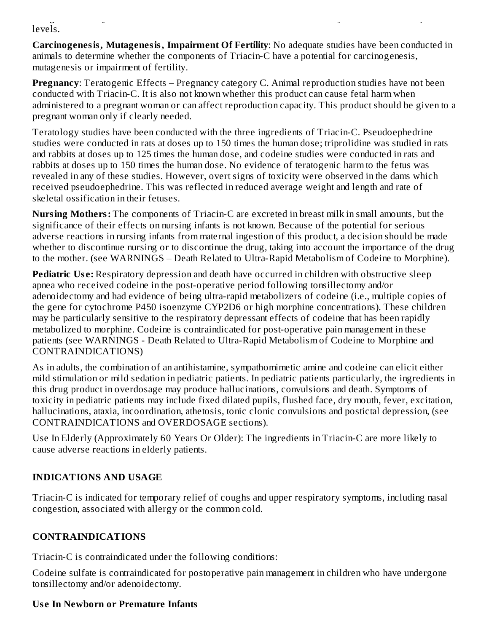**Drug/Laboratory Test Interactions**: Codeine: Narcotic administration may increase serum amylase levels.

**Carcinogenesis, Mutagenesis, Impairment Of Fertility**: No adequate studies have been conducted in animals to determine whether the components of Triacin-C have a potential for carcinogenesis, mutagenesis or impairment of fertility.

**Pregnancy**: Teratogenic Effects – Pregnancy category C. Animal reproduction studies have not been conducted with Triacin-C. It is also not known whether this product can cause fetal harm when administered to a pregnant woman or can affect reproduction capacity. This product should be given to a pregnant woman only if clearly needed.

Teratology studies have been conducted with the three ingredients of Triacin-C. Pseudoephedrine studies were conducted in rats at doses up to 150 times the human dose; triprolidine was studied in rats and rabbits at doses up to 125 times the human dose, and codeine studies were conducted in rats and rabbits at doses up to 150 times the human dose. No evidence of teratogenic harm to the fetus was revealed in any of these studies. However, overt signs of toxicity were observed in the dams which received pseudoephedrine. This was reflected in reduced average weight and length and rate of skeletal ossification in their fetuses.

**Nursing Mothers:** The components of Triacin-C are excreted in breast milk in small amounts, but the significance of their effects on nursing infants is not known. Because of the potential for serious adverse reactions in nursing infants from maternal ingestion of this product, a decision should be made whether to discontinue nursing or to discontinue the drug, taking into account the importance of the drug to the mother. (see WARNINGS – Death Related to Ultra-Rapid Metabolism of Codeine to Morphine).

**Pediatric Use:** Respiratory depression and death have occurred in children with obstructive sleep apnea who received codeine in the post-operative period following tonsillectomy and/or adenoidectomy and had evidence of being ultra-rapid metabolizers of codeine (i.e., multiple copies of the gene for cytochrome P450 isoenzyme CYP2D6 or high morphine concentrations). These children may be particularly sensitive to the respiratory depressant effects of codeine that has been rapidly metabolized to morphine. Codeine is contraindicated for post-operative pain management in these patients (see WARNINGS - Death Related to Ultra-Rapid Metabolism of Codeine to Morphine and CONTRAINDICATIONS)

As in adults, the combination of an antihistamine, sympathomimetic amine and codeine can elicit either mild stimulation or mild sedation in pediatric patients. In pediatric patients particularly, the ingredients in this drug product in overdosage may produce hallucinations, convulsions and death. Symptoms of toxicity in pediatric patients may include fixed dilated pupils, flushed face, dry mouth, fever, excitation, hallucinations, ataxia, incoordination, athetosis, tonic clonic convulsions and postictal depression, (see CONTRAINDICATIONS and OVERDOSAGE sections).

Use In Elderly (Approximately 60 Years Or Older): The ingredients in Triacin-C are more likely to cause adverse reactions in elderly patients.

## **INDICATIONS AND USAGE**

Triacin-C is indicated for temporary relief of coughs and upper respiratory symptoms, including nasal congestion, associated with allergy or the common cold.

### **CONTRAINDICATIONS**

Triacin-C is contraindicated under the following conditions:

Codeine sulfate is contraindicated for postoperative pain management in children who have undergone tonsillectomy and/or adenoidectomy.

# **Us e In Newborn or Premature Infants**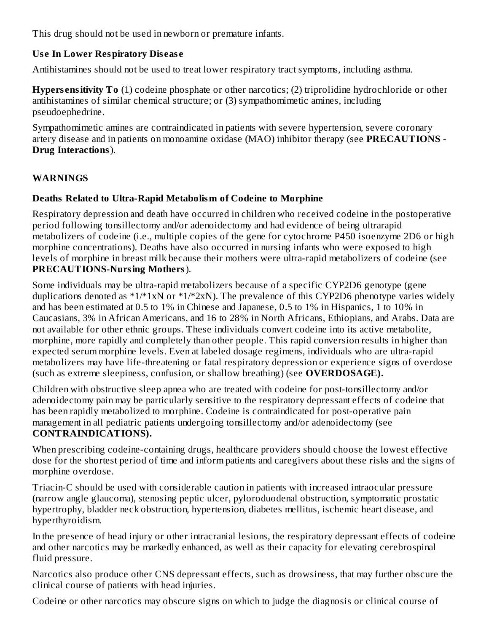This drug should not be used in newborn or premature infants.

### **Us e In Lower Respiratory Dis eas e**

Antihistamines should not be used to treat lower respiratory tract symptoms, including asthma.

**Hypers ensitivity To** (1) codeine phosphate or other narcotics; (2) triprolidine hydrochloride or other antihistamines of similar chemical structure; or (3) sympathomimetic amines, including pseudoephedrine.

Sympathomimetic amines are contraindicated in patients with severe hypertension, severe coronary artery disease and in patients on monoamine oxidase (MAO) inhibitor therapy (see **PRECAUTIONS - Drug Interactions**).

## **WARNINGS**

## **Deaths Related to Ultra-Rapid Metabolism of Codeine to Morphine**

Respiratory depression and death have occurred in children who received codeine in the postoperative period following tonsillectomy and/or adenoidectomy and had evidence of being ultrarapid metabolizers of codeine (i.e., multiple copies of the gene for cytochrome P450 isoenzyme 2D6 or high morphine concentrations). Deaths have also occurred in nursing infants who were exposed to high levels of morphine in breast milk because their mothers were ultra-rapid metabolizers of codeine (see **PRECAUTIONS-Nursing Mothers**).

Some individuals may be ultra-rapid metabolizers because of a specific CYP2D6 genotype (gene duplications denoted as  $*1/*1xN$  or  $*1/*2xN$ ). The prevalence of this CYP2D6 phenotype varies widely and has been estimated at 0.5 to 1% in Chinese and Japanese, 0.5 to 1% in Hispanics, 1 to 10% in Caucasians, 3% in African Americans, and 16 to 28% in North Africans, Ethiopians, and Arabs. Data are not available for other ethnic groups. These individuals convert codeine into its active metabolite, morphine, more rapidly and completely than other people. This rapid conversion results in higher than expected serum morphine levels. Even at labeled dosage regimens, individuals who are ultra-rapid metabolizers may have life-threatening or fatal respiratory depression or experience signs of overdose (such as extreme sleepiness, confusion, or shallow breathing) (see **OVERDOSAGE).**

Children with obstructive sleep apnea who are treated with codeine for post-tonsillectomy and/or adenoidectomy pain may be particularly sensitive to the respiratory depressant effects of codeine that has been rapidly metabolized to morphine. Codeine is contraindicated for post-operative pain management in all pediatric patients undergoing tonsillectomy and/or adenoidectomy (see **CONTRAINDICATIONS).**

When prescribing codeine-containing drugs, healthcare providers should choose the lowest effective dose for the shortest period of time and inform patients and caregivers about these risks and the signs of morphine overdose.

Triacin-C should be used with considerable caution in patients with increased intraocular pressure (narrow angle glaucoma), stenosing peptic ulcer, pyloroduodenal obstruction, symptomatic prostatic hypertrophy, bladder neck obstruction, hypertension, diabetes mellitus, ischemic heart disease, and hyperthyroidism.

In the presence of head injury or other intracranial lesions, the respiratory depressant effects of codeine and other narcotics may be markedly enhanced, as well as their capacity for elevating cerebrospinal fluid pressure.

Narcotics also produce other CNS depressant effects, such as drowsiness, that may further obscure the clinical course of patients with head injuries.

Codeine or other narcotics may obscure signs on which to judge the diagnosis or clinical course of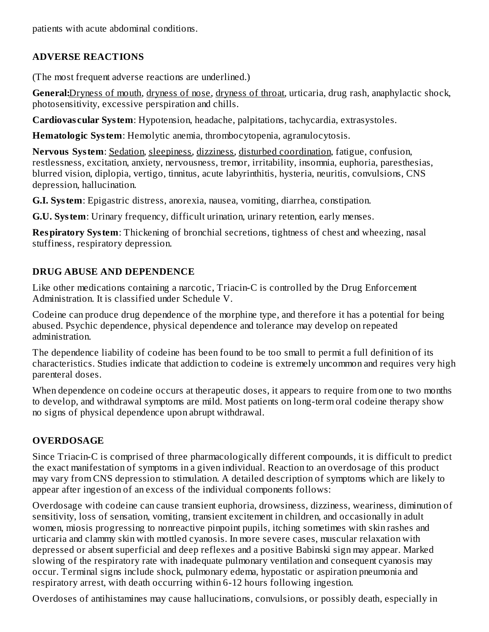patients with acute abdominal conditions.

#### **ADVERSE REACTIONS**

(The most frequent adverse reactions are underlined.)

**General:**Dryness of mouth, dryness of nose, dryness of throat, urticaria, drug rash, anaphylactic shock, photosensitivity, excessive perspiration and chills.

**Cardiovas cular System**: Hypotension, headache, palpitations, tachycardia, extrasystoles.

**Hematologic System**: Hemolytic anemia, thrombocytopenia, agranulocytosis.

**Nervous System**: Sedation, sleepiness, dizziness, disturbed coordination, fatigue, confusion, restlessness, excitation, anxiety, nervousness, tremor, irritability, insomnia, euphoria, paresthesias, blurred vision, diplopia, vertigo, tinnitus, acute labyrinthitis, hysteria, neuritis, convulsions, CNS depression, hallucination.

**G.I. System**: Epigastric distress, anorexia, nausea, vomiting, diarrhea, constipation.

**G.U. System**: Urinary frequency, difficult urination, urinary retention, early menses.

**Respiratory System**: Thickening of bronchial secretions, tightness of chest and wheezing, nasal stuffiness, respiratory depression.

### **DRUG ABUSE AND DEPENDENCE**

Like other medications containing a narcotic, Triacin-C is controlled by the Drug Enforcement Administration. It is classified under Schedule V.

Codeine can produce drug dependence of the morphine type, and therefore it has a potential for being abused. Psychic dependence, physical dependence and tolerance may develop on repeated administration.

The dependence liability of codeine has been found to be too small to permit a full definition of its characteristics. Studies indicate that addiction to codeine is extremely uncommon and requires very high parenteral doses.

When dependence on codeine occurs at therapeutic doses, it appears to require from one to two months to develop, and withdrawal symptoms are mild. Most patients on long-term oral codeine therapy show no signs of physical dependence upon abrupt withdrawal.

### **OVERDOSAGE**

Since Triacin-C is comprised of three pharmacologically different compounds, it is difficult to predict the exact manifestation of symptoms in a given individual. Reaction to an overdosage of this product may vary from CNS depression to stimulation. A detailed description of symptoms which are likely to appear after ingestion of an excess of the individual components follows:

Overdosage with codeine can cause transient euphoria, drowsiness, dizziness, weariness, diminution of sensitivity, loss of sensation, vomiting, transient excitement in children, and occasionally in adult women, miosis progressing to nonreactive pinpoint pupils, itching sometimes with skin rashes and urticaria and clammy skin with mottled cyanosis. In more severe cases, muscular relaxation with depressed or absent superficial and deep reflexes and a positive Babinski sign may appear. Marked slowing of the respiratory rate with inadequate pulmonary ventilation and consequent cyanosis may occur. Terminal signs include shock, pulmonary edema, hypostatic or aspiration pneumonia and respiratory arrest, with death occurring within 6-12 hours following ingestion.

Overdoses of antihistamines may cause hallucinations, convulsions, or possibly death, especially in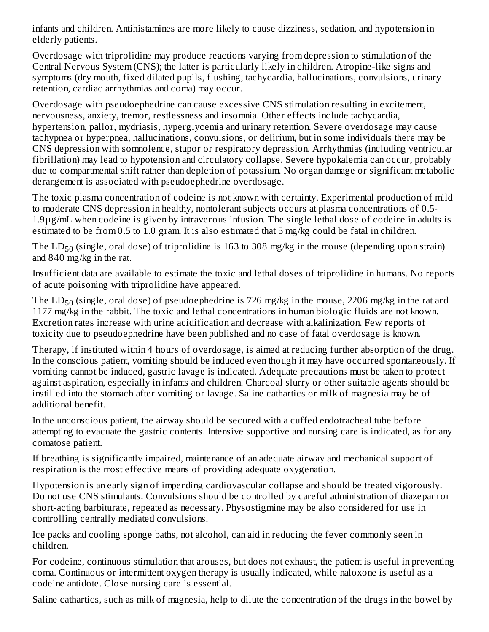infants and children. Antihistamines are more likely to cause dizziness, sedation, and hypotension in elderly patients.

Overdosage with triprolidine may produce reactions varying from depression to stimulation of the Central Nervous System (CNS); the latter is particularly likely in children. Atropine-like signs and symptoms (dry mouth, fixed dilated pupils, flushing, tachycardia, hallucinations, convulsions, urinary retention, cardiac arrhythmias and coma) may occur.

Overdosage with pseudoephedrine can cause excessive CNS stimulation resulting in excitement, nervousness, anxiety, tremor, restlessness and insomnia. Other effects include tachycardia, hypertension, pallor, mydriasis, hyperglycemia and urinary retention. Severe overdosage may cause tachypnea or hyperpnea, hallucinations, convulsions, or delirium, but in some individuals there may be CNS depression with somnolence, stupor or respiratory depression. Arrhythmias (including ventricular fibrillation) may lead to hypotension and circulatory collapse. Severe hypokalemia can occur, probably due to compartmental shift rather than depletion of potassium. No organ damage or significant metabolic derangement is associated with pseudoephedrine overdosage.

The toxic plasma concentration of codeine is not known with certainty. Experimental production of mild to moderate CNS depression in healthy, nontolerant subjects occurs at plasma concentrations of 0.5- 1.9µg/mL when codeine is given by intravenous infusion. The single lethal dose of codeine in adults is estimated to be from 0.5 to 1.0 gram. It is also estimated that 5 mg/kg could be fatal in children.

The  $LD_{50}$  (single, oral dose) of triprolidine is 163 to 308 mg/kg in the mouse (depending upon strain) and 840 mg/kg in the rat.

Insufficient data are available to estimate the toxic and lethal doses of triprolidine in humans. No reports of acute poisoning with triprolidine have appeared.

The  $LD_{50}$  (single, oral dose) of pseudoephedrine is 726 mg/kg in the mouse, 2206 mg/kg in the rat and 1177 mg/kg in the rabbit. The toxic and lethal concentrations in human biologic fluids are not known. Excretion rates increase with urine acidification and decrease with alkalinization. Few reports of toxicity due to pseudoephedrine have been published and no case of fatal overdosage is known.

Therapy, if instituted within 4 hours of overdosage, is aimed at reducing further absorption of the drug. In the conscious patient, vomiting should be induced even though it may have occurred spontaneously. If vomiting cannot be induced, gastric lavage is indicated. Adequate precautions must be taken to protect against aspiration, especially in infants and children. Charcoal slurry or other suitable agents should be instilled into the stomach after vomiting or lavage. Saline cathartics or milk of magnesia may be of additional benefit.

In the unconscious patient, the airway should be secured with a cuffed endotracheal tube before attempting to evacuate the gastric contents. Intensive supportive and nursing care is indicated, as for any comatose patient.

If breathing is significantly impaired, maintenance of an adequate airway and mechanical support of respiration is the most effective means of providing adequate oxygenation.

Hypotension is an early sign of impending cardiovascular collapse and should be treated vigorously. Do not use CNS stimulants. Convulsions should be controlled by careful administration of diazepam or short-acting barbiturate, repeated as necessary. Physostigmine may be also considered for use in controlling centrally mediated convulsions.

Ice packs and cooling sponge baths, not alcohol, can aid in reducing the fever commonly seen in children.

For codeine, continuous stimulation that arouses, but does not exhaust, the patient is useful in preventing coma. Continuous or intermittent oxygen therapy is usually indicated, while naloxone is useful as a codeine antidote. Close nursing care is essential.

Saline cathartics, such as milk of magnesia, help to dilute the concentration of the drugs in the bowel by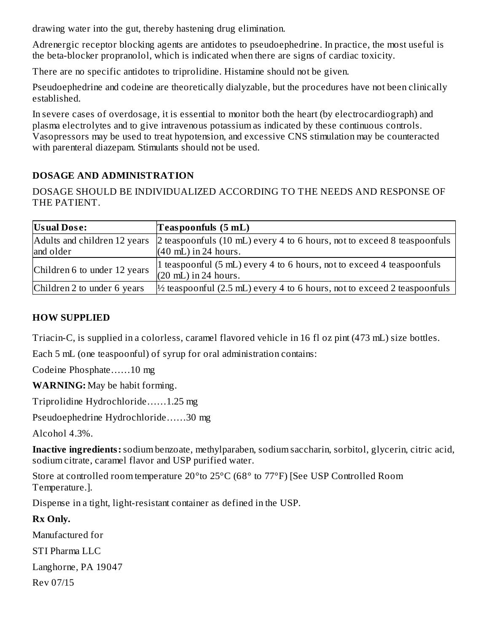drawing water into the gut, thereby hastening drug elimination.

Adrenergic receptor blocking agents are antidotes to pseudoephedrine. In practice, the most useful is the beta-blocker propranolol, which is indicated when there are signs of cardiac toxicity.

There are no specific antidotes to triprolidine. Histamine should not be given.

Pseudoephedrine and codeine are theoretically dialyzable, but the procedures have not been clinically established.

In severe cases of overdosage, it is essential to monitor both the heart (by electrocardiograph) and plasma electrolytes and to give intravenous potassium as indicated by these continuous controls. Vasopressors may be used to treat hypotension, and excessive CNS stimulation may be counteracted with parenteral diazepam. Stimulants should not be used.

## **DOSAGE AND ADMINISTRATION**

DOSAGE SHOULD BE INDIVIDUALIZED ACCORDING TO THE NEEDS AND RESPONSE OF THE PATIENT.

| <b>Usual Dose:</b>                        | $T$ easpoonfuls $(5 mL)$                                                                                          |
|-------------------------------------------|-------------------------------------------------------------------------------------------------------------------|
| Adults and children 12 years<br>and older | 2 teaspoonfuls (10 mL) every 4 to 6 hours, not to exceed 8 teaspoonfuls<br>$(40 \text{ mL})$ in 24 hours.         |
| Children 6 to under 12 years              | 1 teaspoonful $(5 \text{ mL})$ every 4 to 6 hours, not to exceed 4 teaspoonfuls<br>$(20 \text{ mL})$ in 24 hours. |
| Children 2 to under 6 years               | $\frac{1}{2}$ teaspoonful (2.5 mL) every 4 to 6 hours, not to exceed 2 teaspoonfuls                               |

## **HOW SUPPLIED**

Triacin-C, is supplied in a colorless, caramel flavored vehicle in 16 fl oz pint (473 mL) size bottles.

Each 5 mL (one teaspoonful) of syrup for oral administration contains:

Codeine Phosphate……10 mg

**WARNING:** May be habit forming.

Triprolidine Hydrochloride……1.25 mg

Pseudoephedrine Hydrochloride……30 mg

Alcohol 4.3%.

**Inactive ingredients:**sodium benzoate, methylparaben, sodium saccharin, sorbitol, glycerin, citric acid, sodium citrate, caramel flavor and USP purified water.

Store at controlled room temperature 20°to 25°C (68° to 77°F) [See USP Controlled Room Temperature.].

Dispense in a tight, light-resistant container as defined in the USP.

**Rx Only.**

Manufactured for

STI Pharma LLC

Langhorne, PA 19047

Rev 07/15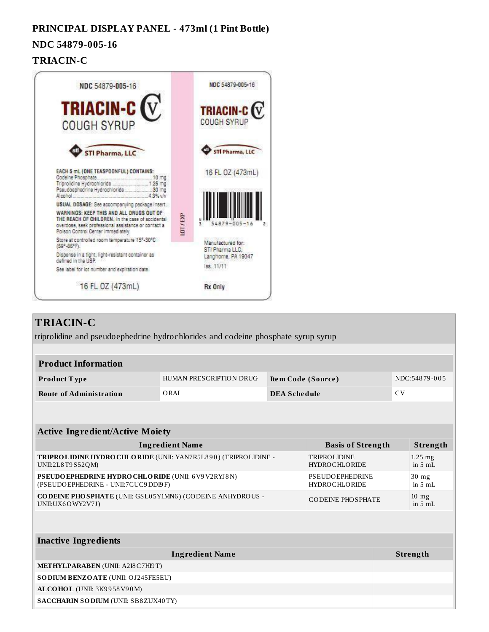#### **PRINCIPAL DISPLAY PANEL - 473ml (1 Pint Bottle)**

**NDC 54879-005-16**

#### **TRIACIN-C**



### **TRIACIN-C**

**Active Ingredient/Active Moiety**

triprolidine and pseudoephedrine hydrochlorides and codeine phosphate syrup syrup

| <b>Product Information</b> |                         |                     |               |
|----------------------------|-------------------------|---------------------|---------------|
| Product Type               | HUMAN PRESCRIPTION DRUG | Item Code (Source)  | NDC:54879-005 |
| Route of Administration    | ORAL                    | <b>DEA Schedule</b> | <b>CV</b>     |

| ACUVE Ingredient/ACUVe Molety                                                                |                                             |                                      |
|----------------------------------------------------------------------------------------------|---------------------------------------------|--------------------------------------|
| <b>Ingredient Name</b>                                                                       | <b>Basis of Strength</b>                    | Strength                             |
| TRIPROLIDINE HYDRO CHLORIDE (UNII: YAN7R5L890) (TRIPROLIDINE -<br>UNII:2L8T9S52QM)           | <b>TRIPROLIDINE</b><br><b>HYDROCHLORIDE</b> | $1.25$ mg<br>in $5mL$                |
| PSEUDO EPHEDRINE HYDRO CHLORIDE (UNII: 6 V9 V2RYJ8 N)<br>(PSEUDOEPHEDRINE - UNII:7CUC9DDI9F) | <b>PSEUDOEPHEDRINE</b><br>HYDROCHLORIDE     | $30 \text{ mg}$<br>in $5 \text{ mL}$ |
| CODEINE PHOSPHATE (UNII: GSL05Y1MN6) (CODEINE ANHYDROUS -<br>UNII:UX6OWY2V7J)                | <b>CODEINE PHOSPHATE</b>                    | $10 \text{ mg}$<br>in $5mL$          |

| <b>Inactive Ingredients</b>                |          |  |  |  |
|--------------------------------------------|----------|--|--|--|
| <b>Ingredient Name</b>                     | Strength |  |  |  |
| <b>METHYLPARABEN</b> (UNII: A2I8C7H19T)    |          |  |  |  |
| <b>SODIUM BENZOATE (UNII: OJ245FE5EU)</b>  |          |  |  |  |
| ALCOHOL (UNII: 3K9958V90M)                 |          |  |  |  |
| <b>SACCHARIN SODIUM (UNII: SB8ZUX40TY)</b> |          |  |  |  |